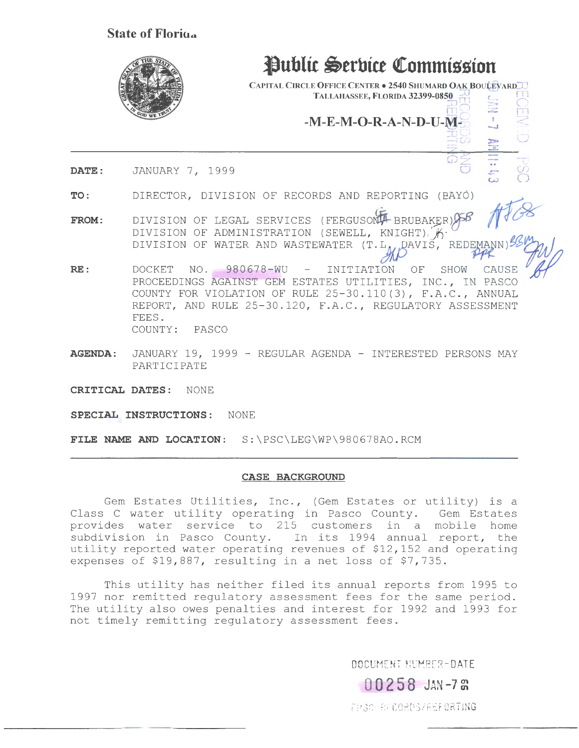## State of Floring



# **Public Serbice Commission**

CAPITAL CIRCLE OFFICE CENTER . 2540 SHUMARD OAK BOULEVARD TALLAHASSEE, FLORIDA 32399-0850

> ;=. ' .~) ---·1 I ! j,. ... ·:..-. I  $-M-E-M-O-R-A-N-D-U-M-$

> > $\tilde{\bm{\omega}}$

!I

 $\breve{\mathcal{O}}$ *()* 

DATE: JANUARY 7, 1999

TO: DIRECTOR, DIVISION OF RECORDS AND REPORTING (BAYO) ~

- FROM: DIVISION OF ADMINISTRATION (SEWELL, KNIGHT)  $\mathscr{L}$ DIVISION OF LEGAL SERVICES (FERGUSON BRUBAKER) SSP 158 DIVISION OF WATER AND WASTEWATER  $(T.L_A, RAVIS)'$  REDEMANN)  $\frac{1}{2}$
- RE: DOCKET NO. 980678-WU INITIATION OF SHOW CAUSE<br>PROCEEDINGS AGAINST GEM ESTATES UTILITIES, INC., IN PASCO COUNTY FOR VIOLATION OF RULE 25-30.110(3), F.A.C., ANNUAL REPORT, AND RULE 25-30.120, F.A.C., REGULATORY ASSESSMENT FEES. COUNTY: PASCO
- AGENDA: JANUARY 19, 1999 REGULAR AGENDA INTERESTED PERSONS MAY PARTICIPATE
- CRITICAL DATES: NONE

SPECIAL INSTRUCTIONS: NONE

FILE NAME AND LOCATION: S:\PSC\LEG\WP\980678AO.RCM

#### CASE BACKGROUND

Gem Estates Utilities, Inc., (Gem Estates or utility) is a Class C water utility operating in Pasco County. Gem Estates provides water service to 215 customers in a mobile home subdivision in Pasco County. In its 1994 annual report, the utility reported water operating revenues of  $$12,152$  and operating expenses of \$19,887, resulting in a net loss of \$7,735.

This utility has neither filed its annual reports from 1995 to 1997 nor remitted regulatory assessment fees for the same period. The utility also owes penalties and interest for 1992 and 1993 for not timely remitting regulatory assessment fees.

OOCUMENT NUMBER-DATE

00258 JAN-7 &

FPSC-RECOROS/REPORTING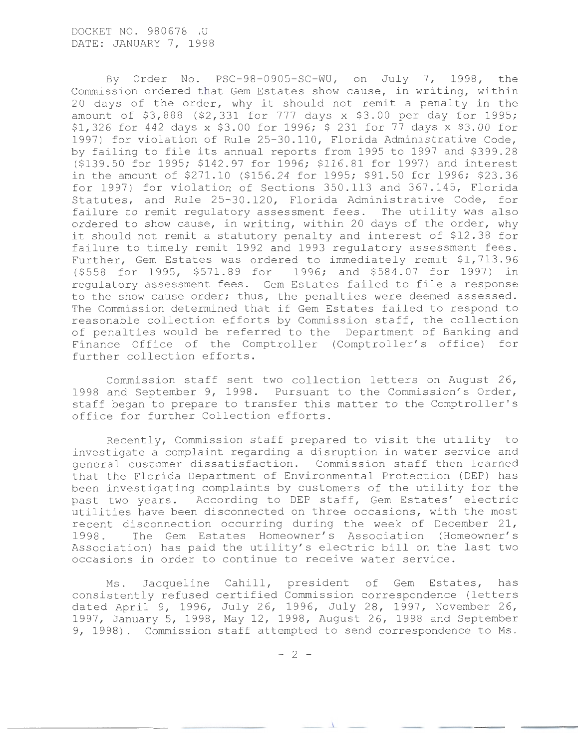By Order No. PSC-98-0905-SC-WU, on July 7, 1998, the Commission ordered that Gem Estates show cause, in writing, within 20 days of the order, why it should not remit a penalty in the amount of \$3,888 (\$2,331 for 777 days x \$3.00 per day for 1995; \$1,326 for 442 days x \$3.00 for 1996; \$ 231 for 77 days x \$3.00 for 1997) for violation of Rule 25-30.110, Florida Administrative Code, by failing to file its annual reports from 1995 to 1997 and \$399.28 (\$139.50 for 1995; \$142.97 for 1996; \$116.81 for 1997) and interest in the amount of \$271.10 (\$156.24 for 1995; \$91.50 for 1996; \$23.36 for 1997) for violation of Sections 350.113 and 367.145, Florida Statutes, and Rule 25-30.120, Florida Administrative Code, for failure to remit regulatory assessment fees. The utility was also ordered to show cause, in writing, within 20 days of the order, why it should not remit a statutory penalty and interest of \$12.38 for failure to timely remit 1992 and 1993 regulatory assessment fees. Further, Gem Estates was ordered to immediately remit \$1,713.96 (\$558 for 1995, \$571.89 for 1996; and \$584.07 for 1997) in regulatory assessment fees. Gem Estates failed to file a response to the show cause order; thus, the penalties were deemed assessed. The Commission determined that if Gem Estates failed to respond to reasonable collection efforts by Commission staff, the collection of penalties would be referred to the Department of Banking and Finance Office of the Comptroller (Comptroller's office) for further collection efforts.

Commission staff sent two collection letters on August 26, 1998 and September 9, 1998. Pursuant to the Commission's Order, staff began to prepare to transfer this matter to the Comptroller's office for further Collection efforts.

Recently, Commission staff prepared to visit the utility to investigate a complaint regarding a disruption in water service and general customer dissatisfaction. Commission staff then learned that the Florida Department of Environmental Protection (DEP) has been investigating complaints by customers of the utility for the past two years. According to DEP staff, Gem Estates' electric utilities have been disconnected on three occasions, with the most recent disconnection occurring during the week of December 21, 1998. The Gem Estates Homeowner's Association (Homeowner's Association) has paid the utility's electric bill on the last two occasions in order to continue to receive water service.

Ms. Jacqueline Cahill, president of Gem Estates, has consistently refused certified Commission correspondence (letters dated April 9, 1996, July 26, 1996, July 28, 1997, November 26, 1997, January 5, 1998, May 12, 1998, August 26 , 1998 and September 9, 1998). Commission staff attempted to send correspondence to Ms.

 $- 2 -$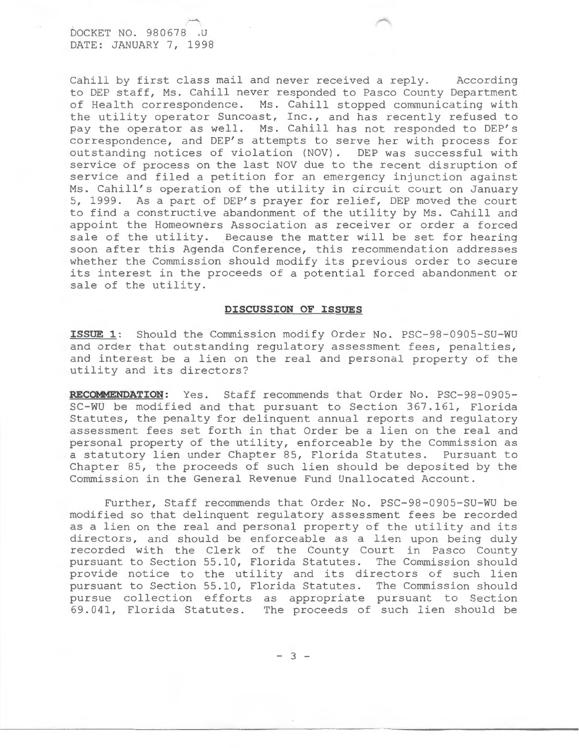DOCKET NO. 980678 .U DATE: JANUARY 7, 1998

Cahill by first class mail and never received a reply. According to DEP staff, Ms. Cahill never responded to Pasco County Department of Health correspondence. Ms. Cahill stopped communicating with the utility operator Suncoast, Inc., and has recently refused to pay the operator as well. Ms. Cahill has not responded to DEP's correspondence, and DEP's attempts to serve her with process for outstanding notices of violation (NOV). DEP was successful with service of process on the last NOV due to the recent disruption of service and filed a petition for an emergency injunction against Ms. Cahill's operation of the utility in circuit court on January 5, 1999. As a part of DEP's prayer for relief, DEP moved the court to find a constructive abandonment of the utility by Ms. Cahill and appoint the Homeowners Association as receiver or order a forced sale of the utility. Because the matter will be set for hearing soon after this Agenda Conference, this recommendation addresses whether the Commission should modify its previous order to secure its interest in the proceeds of a potential forced abandonment or sale of the utility.

#### **DISCUSSION OF ISSUES**

**ISSUE 1:** Should the Commission modify Order No. PSC-98-0905-SU-WU and order that outstanding regulatory assessment fees, penalties, and interest be a lien on the real and personal property of the utility and its directors?

RECOMMENDATION: Yes. Staff recommends that Order No. PSC-98-0905-SC-WU be modified and that pursuant to Section 367.161, Florida Statutes, the penalty for delinquent annual reports and regulatory assessment fees set forth in that Order be a lien on the real and personal property of the utility, enforceable by the Commission as a statutory lien under Chapter 85, Florida Statutes. Pursuant to Chapter 85, the proceeds of such lien should be deposited by the Commission in the General Revenue Fund Unallocated Account.

Further, Staff recommends that Order No. PSC-98-0905-SU-WU be modified so that delinquent regulatory assessment fees be recorded as a lien on the real and personal property of the utility and its directors, and should be enforceable as a lien upon being duly recorded with the Clerk of the County Court in Pasco County pursuant to Section 55.10, Florida Statutes. The Commission should provide notice to the utility and its directors of such lien pursuant to Section 55.10, Florida Statutes. The Commission should pursue collection efforts as appropriate pursuant to Section 69. 041 , Florida Statutes. The proceeds of such lien should be

- 3 -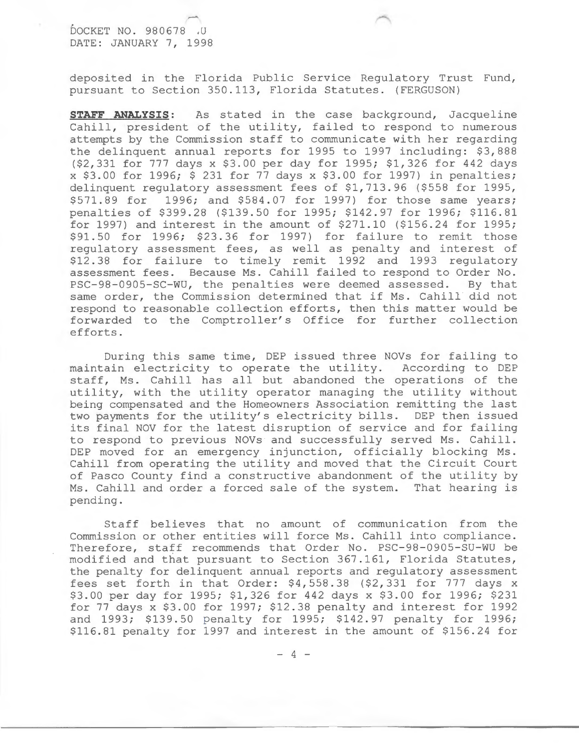### DOCKET NO. 980678 , U DATE: JANUARY 7, 1998

deposited in the Florida Public Service Regulatory Trust Fund, pursuant to Section 350.113, Florida Statutes. (FERGUSON)

**STAFF ANALYSIS:** As stated in the case background, Jacqueline Cahill, president of the utility, failed to respond to numerous attempts by the Commission staff to communicate with her regarding the delinquent annual reports for 1995 to 1997 including: \$3,888 (\$2,331 for 777 days x \$3.00 per day for 1995; \$1,326 for 442 days x \$3.00 for 1996; \$ 231 for 77 days x \$3.00 for 1997) in penalties; delinquent regulatory assessment fees of \$1,713.96 (\$558 for 1995, \$571.89 for 1996; and \$584.07 for 1997) for those same years; penalties of \$399.28 (\$139.50 for 1995; \$142.97 for 1996; \$116.81 for 1997) and interest in the amount of  $$271.10$  ( $$156.24$  for 1995; \$91.50 for 1996; \$23.36 for 1997) for failure to remit those regulatory assessment fees, as well as penalty and interest of \$12.38 for failure to timely remit 1992 and 1993 regulatory assessment fees. Because Ms. Cahill failed to respond to Order No. PSC-98-0905-SC-WU, the penalties were deemed assessed. By that same order, the Commission determined that if Ms. Cahill did not respond to reasonable collection efforts, then this matter would be forwarded to the Comptroller's Office for further collection efforts.

During this same time, DEP issued three NOVs for failing to maintain electricity to operate the utility. According to DEP staff, Ms. Cahill has all but abandoned the operations of the utility, with the utility operator managing the utility without being compensated and the Homeowners Association remitting the last two payments for the utility's electricity bills. DEP then issued its final NOV for the latest disruption of service and for failing to respond to previous NOVs and successfully served Ms. Cahill. DEP moved for an emergency injunction, officially blocking Ms. Cahill from operating the utility and moved that the Circuit Court of Pasco County find a constructive abandonment of the utility by Ms. Cahill and order a forced sale of the system. That hearing is pending.

Staff believes that no amount of communication from the Commission or other entities will force Ms. Cahill into compliance. Therefore, staff recommends that Order No. PSC-98-0905-SU-WU be modified and that pursuant to Section 367.161, Florida Statutes, the penalty for delinquent annual reports and regulatory assessment fees set forth in that Order: \$4,558.38 (\$2,331 for 777 days x \$3.00 per day for 1995; \$1,326 for 442 days x \$3.00 for 1996; \$231 for 77 days x \$3.00 for 1997; \$12.38 penalty and interest for 1992 and 1993; \$139.50 penalty for 1995; \$142.97 penalty for 1996; \$116.81 penalty for 1997 and interest in the amount of \$156.24 for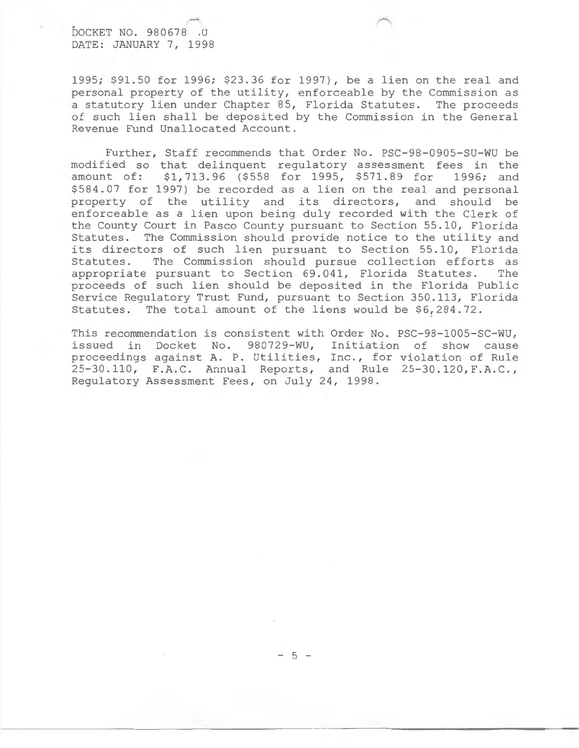DOCKET NO. 980678 .U DATE: JANUARY 7, 1998

1995; \$91.50 for 1996; \$23.36 for 1997), be a lien on the real and personal property of the utility, enforceable by the Commission as a statutory lien under Chapter 85, Florida Statutes. The proceeds of such lien shall be deposited by the Commission in the General Revenue Fund Unallocated Account.

Further, Staff recommends that Order No. PSC-98-0905-SU-WU be modified so that delinquent regulatory assessment fees in the amount of: \$1,713.96 (\$558 for 1995, \$571.89 for 1996; and \$584.07 for 1997) be recorded as a lien on the real and personal property of the utility and its directors, and should be enforceable as a lien upon being duly recorded with the Clerk of the County Court in Pasco County pursuant to Section 55.10, Florida Statutes. The Commission should provide notice to the utility and its directors of such lien pursuant to Section 55.10, Florida<br>Statutes. The Commission should pursue collection efforts as The Commission should pursue collection efforts as appropriate pursuant to Section 69.041, Florida Statutes. The proceeds of such lien should be deposited in the Florida Public Service Regulatory Trust Fund, pursuant to Section 350.113, Florida Statutes. The total amount of the liens would be  $$6,284.72$ .

This recommendation is consistent with Order No. PSC-98-1005-SC-WU, issued in Docket No. 980729-WU, Initiation of show cause proceedings against A. P. Utilities, Inc., for violation of Rule 25 -30.110, F.A.C. Annual Reports, and Rule 25-30.120,F.A.C., Regulatory Assessment Fees, on July 24, 1998.